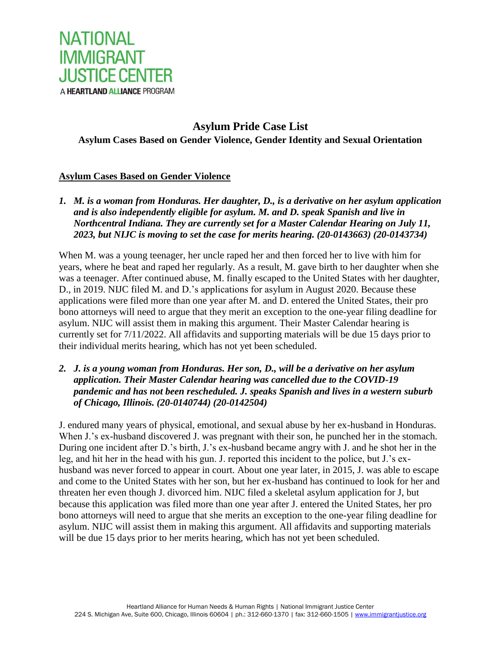

# **Asylum Pride Case List Asylum Cases Based on Gender Violence, Gender Identity and Sexual Orientation**

## **Asylum Cases Based on Gender Violence**

*1. M. is a woman from Honduras. Her daughter, D., is a derivative on her asylum application and is also independently eligible for asylum. M. and D. speak Spanish and live in Northcentral Indiana. They are currently set for a Master Calendar Hearing on July 11, 2023, but NIJC is moving to set the case for merits hearing. (20-0143663) (20-0143734)*

When M. was a young teenager, her uncle raped her and then forced her to live with him for years, where he beat and raped her regularly. As a result, M. gave birth to her daughter when she was a teenager. After continued abuse, M. finally escaped to the United States with her daughter, D., in 2019. NIJC filed M. and D.'s applications for asylum in August 2020. Because these applications were filed more than one year after M. and D. entered the United States, their pro bono attorneys will need to argue that they merit an exception to the one-year filing deadline for asylum. NIJC will assist them in making this argument. Their Master Calendar hearing is currently set for 7/11/2022. All affidavits and supporting materials will be due 15 days prior to their individual merits hearing, which has not yet been scheduled.

*2. J. is a young woman from Honduras. Her son, D., will be a derivative on her asylum application. Their Master Calendar hearing was cancelled due to the COVID-19 pandemic and has not been rescheduled. J. speaks Spanish and lives in a western suburb of Chicago, Illinois. (20-0140744) (20-0142504)*

J. endured many years of physical, emotional, and sexual abuse by her ex-husband in Honduras. When J.'s ex-husband discovered J. was pregnant with their son, he punched her in the stomach. During one incident after D.'s birth, J.'s ex-husband became angry with J. and he shot her in the leg, and hit her in the head with his gun. J. reported this incident to the police, but J.'s exhusband was never forced to appear in court. About one year later, in 2015, J. was able to escape and come to the United States with her son, but her ex-husband has continued to look for her and threaten her even though J. divorced him. NIJC filed a skeletal asylum application for J, but because this application was filed more than one year after J. entered the United States, her pro bono attorneys will need to argue that she merits an exception to the one-year filing deadline for asylum. NIJC will assist them in making this argument. All affidavits and supporting materials will be due 15 days prior to her merits hearing, which has not yet been scheduled.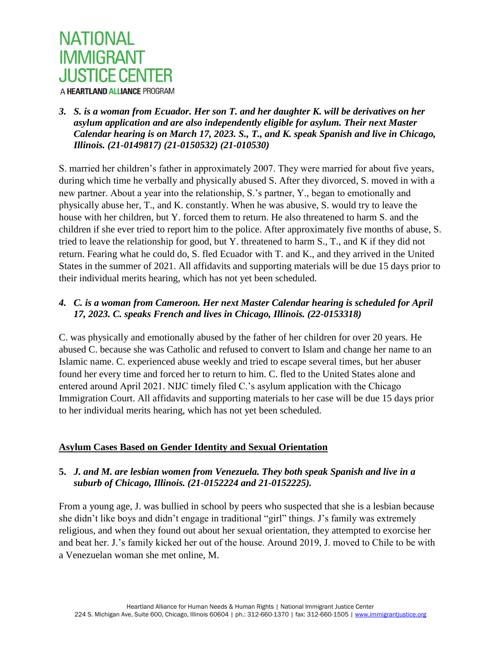

#### *3. S. is a woman from Ecuador. Her son T. and her daughter K. will be derivatives on her asylum application and are also independently eligible for asylum. Their next Master Calendar hearing is on March 17, 2023. S., T., and K. speak Spanish and live in Chicago, Illinois. (21-0149817) (21-0150532) (21-010530)*

S. married her children's father in approximately 2007. They were married for about five years, during which time he verbally and physically abused S. After they divorced, S. moved in with a new partner. About a year into the relationship, S.'s partner, Y., began to emotionally and physically abuse her, T., and K. constantly. When he was abusive, S. would try to leave the house with her children, but Y. forced them to return. He also threatened to harm S. and the children if she ever tried to report him to the police. After approximately five months of abuse, S. tried to leave the relationship for good, but Y. threatened to harm S., T., and K if they did not return. Fearing what he could do, S. fled Ecuador with T. and K., and they arrived in the United States in the summer of 2021. All affidavits and supporting materials will be due 15 days prior to their individual merits hearing, which has not yet been scheduled.

## *4. C. is a woman from Cameroon. Her next Master Calendar hearing is scheduled for April 17, 2023. C. speaks French and lives in Chicago, Illinois. (22-0153318)*

C. was physically and emotionally abused by the father of her children for over 20 years. He abused C. because she was Catholic and refused to convert to Islam and change her name to an Islamic name. C. experienced abuse weekly and tried to escape several times, but her abuser found her every time and forced her to return to him. C. fled to the United States alone and entered around April 2021. NIJC timely filed C.'s asylum application with the Chicago Immigration Court. All affidavits and supporting materials to her case will be due 15 days prior to her individual merits hearing, which has not yet been scheduled.

#### **Asylum Cases Based on Gender Identity and Sexual Orientation**

#### **5.** *J. and M. are lesbian women from Venezuela. They both speak Spanish and live in a suburb of Chicago, Illinois. (21-0152224 and 21-0152225).*

From a young age, J. was bullied in school by peers who suspected that she is a lesbian because she didn't like boys and didn't engage in traditional "girl" things. J's family was extremely religious, and when they found out about her sexual orientation, they attempted to exorcise her and beat her. J.'s family kicked her out of the house. Around 2019, J. moved to Chile to be with a Venezuelan woman she met online, M.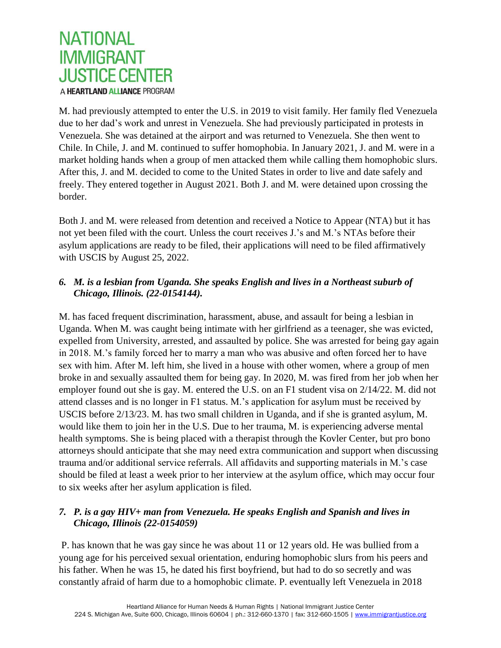

M. had previously attempted to enter the U.S. in 2019 to visit family. Her family fled Venezuela due to her dad's work and unrest in Venezuela. She had previously participated in protests in Venezuela. She was detained at the airport and was returned to Venezuela. She then went to Chile. In Chile, J. and M. continued to suffer homophobia. In January 2021, J. and M. were in a market holding hands when a group of men attacked them while calling them homophobic slurs. After this, J. and M. decided to come to the United States in order to live and date safely and freely. They entered together in August 2021. Both J. and M. were detained upon crossing the border.

Both J. and M. were released from detention and received a Notice to Appear (NTA) but it has not yet been filed with the court. Unless the court receives J.'s and M.'s NTAs before their asylum applications are ready to be filed, their applications will need to be filed affirmatively with USCIS by August 25, 2022.

## *6. M. is a lesbian from Uganda. She speaks English and lives in a Northeast suburb of Chicago, Illinois. (22-0154144).*

M. has faced frequent discrimination, harassment, abuse, and assault for being a lesbian in Uganda. When M. was caught being intimate with her girlfriend as a teenager, she was evicted, expelled from University, arrested, and assaulted by police. She was arrested for being gay again in 2018. M.'s family forced her to marry a man who was abusive and often forced her to have sex with him. After M. left him, she lived in a house with other women, where a group of men broke in and sexually assaulted them for being gay. In 2020, M. was fired from her job when her employer found out she is gay. M. entered the U.S. on an F1 student visa on 2/14/22. M. did not attend classes and is no longer in F1 status. M.'s application for asylum must be received by USCIS before 2/13/23. M. has two small children in Uganda, and if she is granted asylum, M. would like them to join her in the U.S. Due to her trauma, M. is experiencing adverse mental health symptoms. She is being placed with a therapist through the Kovler Center, but pro bono attorneys should anticipate that she may need extra communication and support when discussing trauma and/or additional service referrals. All affidavits and supporting materials in M.'s case should be filed at least a week prior to her interview at the asylum office, which may occur four to six weeks after her asylum application is filed.

## *7. P. is a gay HIV+ man from Venezuela. He speaks English and Spanish and lives in Chicago, Illinois (22-0154059)*

P. has known that he was gay since he was about 11 or 12 years old. He was bullied from a young age for his perceived sexual orientation, enduring homophobic slurs from his peers and his father. When he was 15, he dated his first boyfriend, but had to do so secretly and was constantly afraid of harm due to a homophobic climate. P. eventually left Venezuela in 2018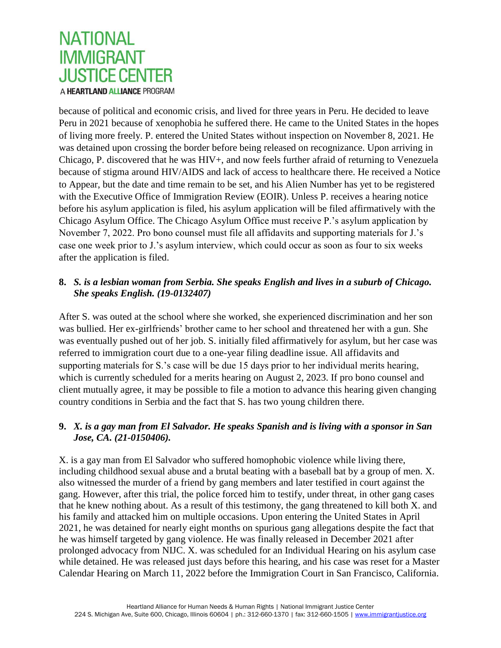

because of political and economic crisis, and lived for three years in Peru. He decided to leave Peru in 2021 because of xenophobia he suffered there. He came to the United States in the hopes of living more freely. P. entered the United States without inspection on November 8, 2021. He was detained upon crossing the border before being released on recognizance. Upon arriving in Chicago, P. discovered that he was HIV+, and now feels further afraid of returning to Venezuela because of stigma around HIV/AIDS and lack of access to healthcare there. He received a Notice to Appear, but the date and time remain to be set, and his Alien Number has yet to be registered with the Executive Office of Immigration Review (EOIR). Unless P. receives a hearing notice before his asylum application is filed, his asylum application will be filed affirmatively with the Chicago Asylum Office. The Chicago Asylum Office must receive P.'s asylum application by November 7, 2022. Pro bono counsel must file all affidavits and supporting materials for J.'s case one week prior to J.'s asylum interview, which could occur as soon as four to six weeks after the application is filed.

## **8.** *S. is a lesbian woman from Serbia. She speaks English and lives in a suburb of Chicago. She speaks English. (19-0132407)*

After S. was outed at the school where she worked, she experienced discrimination and her son was bullied. Her ex-girlfriends' brother came to her school and threatened her with a gun. She was eventually pushed out of her job. S. initially filed affirmatively for asylum, but her case was referred to immigration court due to a one-year filing deadline issue. All affidavits and supporting materials for S.'s case will be due 15 days prior to her individual merits hearing, which is currently scheduled for a merits hearing on August 2, 2023. If pro bono counsel and client mutually agree, it may be possible to file a motion to advance this hearing given changing country conditions in Serbia and the fact that S. has two young children there.

## **9.** *X. is a gay man from El Salvador. He speaks Spanish and is living with a sponsor in San Jose, CA. (21-0150406).*

X. is a gay man from El Salvador who suffered homophobic violence while living there, including childhood sexual abuse and a brutal beating with a baseball bat by a group of men. X. also witnessed the murder of a friend by gang members and later testified in court against the gang. However, after this trial, the police forced him to testify, under threat, in other gang cases that he knew nothing about. As a result of this testimony, the gang threatened to kill both X. and his family and attacked him on multiple occasions. Upon entering the United States in April 2021, he was detained for nearly eight months on spurious gang allegations despite the fact that he was himself targeted by gang violence. He was finally released in December 2021 after prolonged advocacy from NIJC. X. was scheduled for an Individual Hearing on his asylum case while detained. He was released just days before this hearing, and his case was reset for a Master Calendar Hearing on March 11, 2022 before the Immigration Court in San Francisco, California.